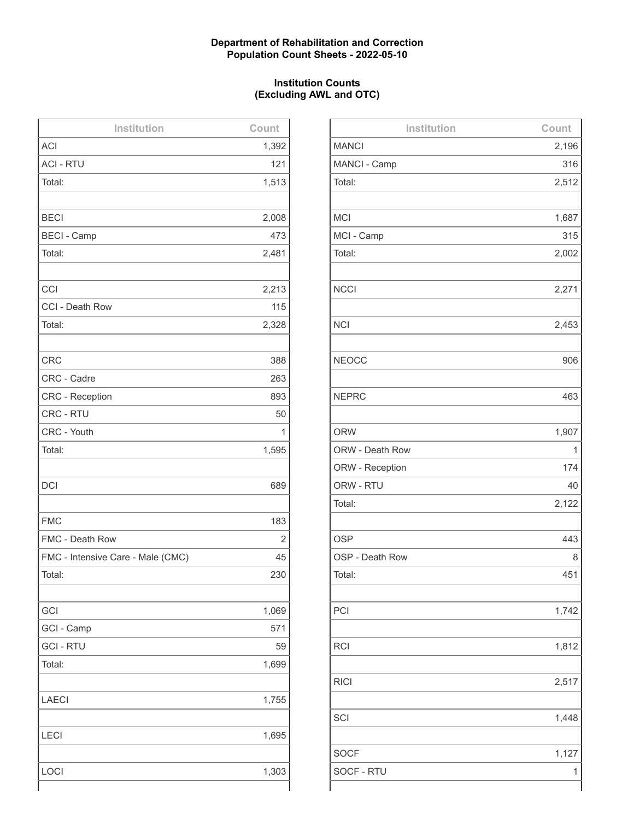# **Department of Rehabilitation and Correction Population Count Sheets - 2022-05-10**

# **Institution Counts (Excluding AWL and OTC)**

| Institution                       | Count |
|-----------------------------------|-------|
| <b>ACI</b>                        | 1,392 |
| <b>ACI - RTU</b>                  | 121   |
| Total:                            | 1,513 |
|                                   |       |
| <b>BECI</b>                       | 2,008 |
| <b>BECI - Camp</b>                | 473   |
| Total:                            | 2,481 |
|                                   |       |
| CCI                               | 2,213 |
| CCI - Death Row                   | 115   |
| Total:                            | 2,328 |
|                                   |       |
| <b>CRC</b>                        | 388   |
| CRC - Cadre                       | 263   |
| <b>CRC - Reception</b>            | 893   |
| <b>CRC - RTU</b>                  | 50    |
| CRC - Youth                       | 1     |
| Total:                            | 1,595 |
|                                   |       |
| <b>DCI</b>                        | 689   |
|                                   |       |
| <b>FMC</b>                        | 183   |
| FMC - Death Row                   | 2     |
| FMC - Intensive Care - Male (CMC) | 45    |
| Total:                            | 230   |
|                                   |       |
| GCI                               | 1,069 |
| GCI - Camp                        | 571   |
| <b>GCI - RTU</b>                  | 59    |
| Total:                            | 1,699 |
|                                   |       |
| <b>LAECI</b>                      | 1,755 |
|                                   |       |
| <b>LECI</b>                       | 1,695 |
|                                   |       |
| LOCI                              | 1,303 |
|                                   |       |

| Institution     | Count |
|-----------------|-------|
| <b>MANCI</b>    | 2,196 |
| MANCI - Camp    | 316   |
| Total:          | 2,512 |
|                 |       |
| <b>MCI</b>      | 1,687 |
| MCI - Camp      | 315   |
| Total:          | 2,002 |
|                 |       |
| <b>NCCI</b>     | 2,271 |
|                 |       |
| <b>NCI</b>      | 2,453 |
|                 |       |
| <b>NEOCC</b>    | 906   |
|                 |       |
| <b>NEPRC</b>    | 463   |
|                 |       |
| <b>ORW</b>      | 1,907 |
| ORW - Death Row | 1     |
| ORW - Reception | 174   |
| ORW - RTU       | 40    |
| Total:          | 2,122 |
|                 |       |
| <b>OSP</b>      | 443   |
| OSP - Death Row | 8     |
| Total:          | 451   |
|                 |       |
| PCI             | 1,742 |
|                 |       |
| <b>RCI</b>      | 1,812 |
|                 |       |
| <b>RICI</b>     | 2,517 |
|                 |       |
| SCI             | 1,448 |
|                 |       |
| <b>SOCF</b>     | 1,127 |
| SOCF - RTU      | 1     |
|                 |       |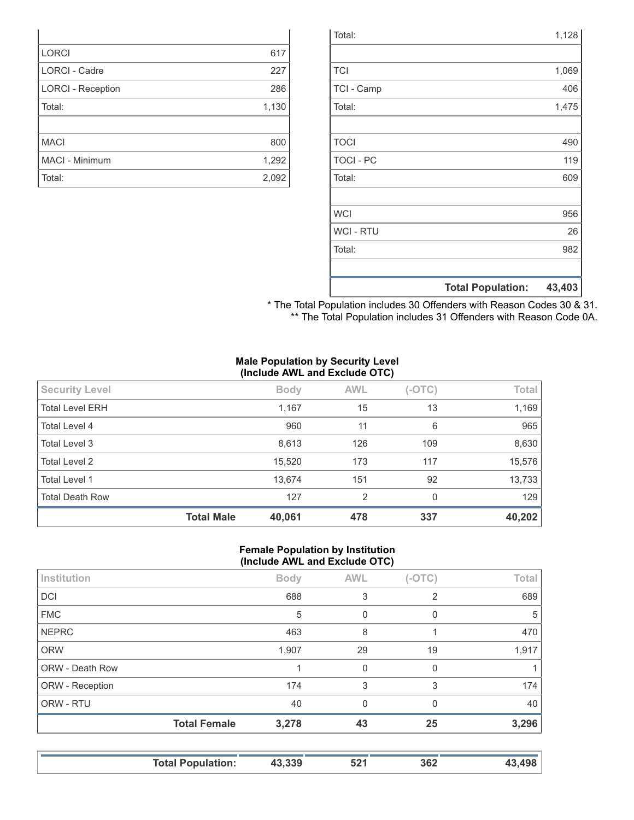|                  | <b>Total Population:</b> | 43,403 |
|------------------|--------------------------|--------|
|                  |                          |        |
| Total:           |                          | 982    |
| <b>WCI - RTU</b> |                          | 26     |
| <b>WCI</b>       |                          | 956    |
|                  |                          |        |
| Total:           |                          | 609    |
| <b>TOCI - PC</b> |                          | 119    |
| <b>TOCI</b>      |                          | 490    |
|                  |                          |        |
| Total:           |                          | 1,475  |
| TCI - Camp       |                          | 406    |
| <b>TCI</b>       |                          | 1,069  |
|                  |                          |        |
| Total:           |                          | 1,128  |

| * The Total Population includes 30 Offenders with Reason Codes 30 & 31. |  |
|-------------------------------------------------------------------------|--|
| ** The Total Population includes 31 Offenders with Reason Code 0A.      |  |

#### **Male Population by Security Level (Include AWL and Exclude OTC)**

|                        | <b>Total Male</b> | 40,061      | 478        | 337      | 40,202 |
|------------------------|-------------------|-------------|------------|----------|--------|
| <b>Total Death Row</b> |                   | 127         | 2          | 0        | 129    |
| Total Level 1          |                   | 13,674      | 151        | 92       | 13,733 |
| <b>Total Level 2</b>   |                   | 15,520      | 173        | 117      | 15,576 |
| Total Level 3          |                   | 8,613       | 126        | 109      | 8,630  |
| Total Level 4          |                   | 960         | 11         | 6        | 965    |
| <b>Total Level ERH</b> |                   | 1,167       | 15         | 13       | 1,169  |
| <b>Security Level</b>  |                   | <b>Body</b> | <b>AWL</b> | $(-OTC)$ | Total  |
|                        | $\sim$            |             |            |          |        |

#### **Female Population by Institution (Include AWL and Exclude OTC)**

|                 | $\mathbf{v}$        |             |            |          |       |
|-----------------|---------------------|-------------|------------|----------|-------|
| Institution     |                     | <b>Body</b> | <b>AWL</b> | $(-OTC)$ | Total |
| <b>DCI</b>      |                     | 688         | 3          | 2        | 689   |
| <b>FMC</b>      |                     | 5           | 0          | 0        | 5     |
| <b>NEPRC</b>    |                     | 463         | 8          |          | 470   |
| <b>ORW</b>      |                     | 1,907       | 29         | 19       | 1,917 |
| ORW - Death Row |                     |             | 0          | 0        |       |
| ORW - Reception |                     | 174         | 3          | 3        | 174   |
| ORW - RTU       |                     | 40          | $\Omega$   | 0        | 40    |
|                 | <b>Total Female</b> | 3,278       | 43         | 25       | 3,296 |
|                 |                     |             |            |          |       |

|  | <b>Total Population:</b> | $330$ | 521 | 362 | ۱۵۵ |
|--|--------------------------|-------|-----|-----|-----|
|--|--------------------------|-------|-----|-----|-----|

| <b>LORCI</b>             | 617   |
|--------------------------|-------|
| <b>LORCI - Cadre</b>     | 227   |
| <b>LORCI - Reception</b> | 286   |
| Total:                   | 1,130 |
|                          |       |
| <b>MACI</b>              | 800   |
| <b>MACI - Minimum</b>    | 1,292 |
| Total:                   | 2,092 |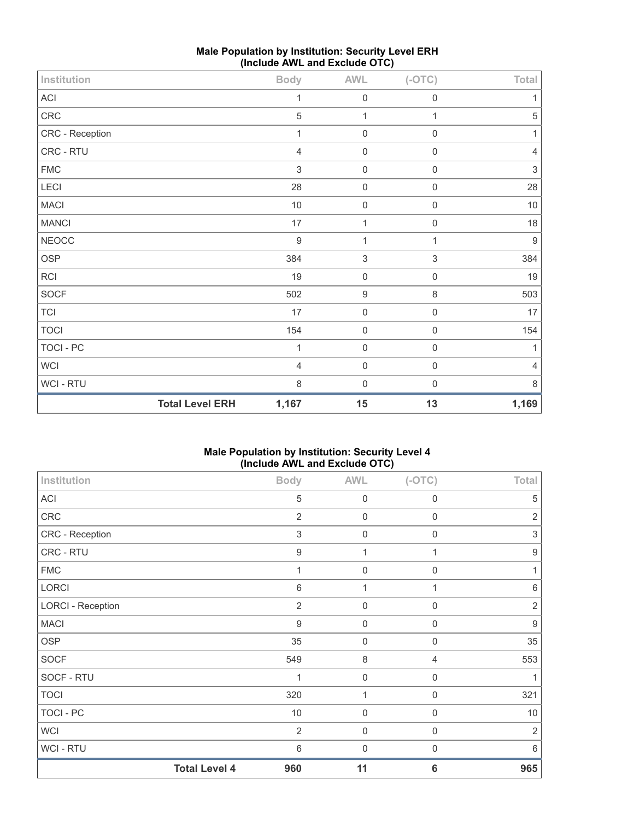| Institution     |                        | <b>Body</b>    | <b>AWL</b>       | $(-OTC)$            | Total                     |
|-----------------|------------------------|----------------|------------------|---------------------|---------------------------|
| ACI             |                        | 1              | $\mathbf 0$      | $\mathbf 0$         | 1                         |
| CRC             |                        | 5              | $\mathbf{1}$     | 1                   | $\overline{5}$            |
| CRC - Reception |                        | 1              | $\boldsymbol{0}$ | $\mathbf 0$         | 1                         |
| CRC - RTU       |                        | 4              | $\boldsymbol{0}$ | $\boldsymbol{0}$    | $\sqrt{4}$                |
| ${\sf FMC}$     |                        | 3              | $\mathbf 0$      | $\boldsymbol{0}$    | $\ensuremath{\mathsf{3}}$ |
| LECI            |                        | 28             | $\boldsymbol{0}$ | $\boldsymbol{0}$    | 28                        |
| <b>MACI</b>     |                        | $10$           | $\boldsymbol{0}$ | $\boldsymbol{0}$    | $10$                      |
| <b>MANCI</b>    |                        | 17             | 1                | $\mathsf{O}\xspace$ | 18                        |
| <b>NEOCC</b>    |                        | $\overline{9}$ | $\overline{1}$   | $\mathbf{1}$        | $\boldsymbol{9}$          |
| <b>OSP</b>      |                        | 384            | $\sqrt{3}$       | $\mathfrak{S}$      | 384                       |
| RCI             |                        | 19             | $\mathbf 0$      | $\mathsf{O}\xspace$ | 19                        |
| SOCF            |                        | 502            | $\boldsymbol{9}$ | $\,8\,$             | 503                       |
| TCI             |                        | 17             | $\boldsymbol{0}$ | $\mathsf{O}\xspace$ | 17                        |
| <b>TOCI</b>     |                        | 154            | $\boldsymbol{0}$ | $\mathbf 0$         | 154                       |
| TOCI - PC       |                        | 1              | $\boldsymbol{0}$ | $\boldsymbol{0}$    | 1                         |
| <b>WCI</b>      |                        | $\overline{4}$ | $\mathbf 0$      | $\mathsf{O}\xspace$ | $\overline{4}$            |
| WCI - RTU       |                        | 8              | $\mathbf 0$      | $\mathbf 0$         | 8                         |
|                 | <b>Total Level ERH</b> | 1,167          | 15               | 13                  | 1,169                     |

# **Male Population by Institution: Security Level ERH (Include AWL and Exclude OTC)**

# **Male Population by Institution: Security Level 4 (Include AWL and Exclude OTC)**

| Institution              |                      | <b>Body</b>      | <b>AWL</b>       | $(-OTC)$        | Total            |
|--------------------------|----------------------|------------------|------------------|-----------------|------------------|
| ACI                      |                      | 5                | $\mathbf 0$      | $\mathbf 0$     | 5                |
| CRC                      |                      | $\overline{2}$   | $\mathbf 0$      | $\mathbf 0$     | $\sqrt{2}$       |
| CRC - Reception          |                      | $\sqrt{3}$       | $\mathbf 0$      | $\mathbf 0$     | $\sqrt{3}$       |
| CRC - RTU                |                      | $\boldsymbol{9}$ | $\mathbf{1}$     | 1               | $\boldsymbol{9}$ |
| <b>FMC</b>               |                      | 1                | $\mathbf 0$      | $\mathbf 0$     | 1                |
| LORCI                    |                      | 6                | 1                | 1               | $6\,$            |
| <b>LORCI - Reception</b> |                      | $\overline{2}$   | $\mathbf 0$      | $\mathbf 0$     | $\overline{2}$   |
| <b>MACI</b>              |                      | $\boldsymbol{9}$ | $\mathbf 0$      | $\mathbf 0$     | $\boldsymbol{9}$ |
| <b>OSP</b>               |                      | 35               | $\mathbf 0$      | $\mathbf 0$     | 35               |
| <b>SOCF</b>              |                      | 549              | $\,8\,$          | $\overline{4}$  | 553              |
| SOCF - RTU               |                      | 1                | $\mathbf 0$      | $\mathbf 0$     | 1                |
| <b>TOCI</b>              |                      | 320              | 1                | $\mathbf 0$     | 321              |
| <b>TOCI - PC</b>         |                      | 10               | $\mathbf 0$      | $\mathbf 0$     | 10               |
| <b>WCI</b>               |                      | $\sqrt{2}$       | $\mathbf 0$      | $\mathbf 0$     | $\sqrt{2}$       |
| <b>WCI-RTU</b>           |                      | $6\,$            | $\boldsymbol{0}$ | $\mathbf 0$     | 6                |
|                          | <b>Total Level 4</b> | 960              | 11               | $6\phantom{1}6$ | 965              |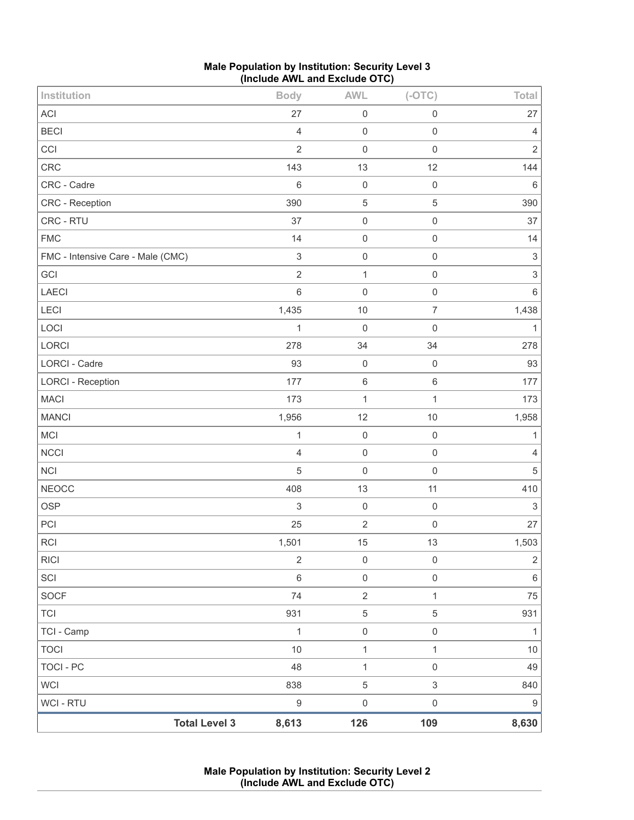| Male Population by Institution: Security Level 3 |  |
|--------------------------------------------------|--|
| (Include AWL and Exclude OTC)                    |  |

| Institution                       | <b>Body</b>               | <b>AWL</b>          | $(-OTC)$            | Total                     |
|-----------------------------------|---------------------------|---------------------|---------------------|---------------------------|
| ACI                               | 27                        | $\mathsf 0$         | $\mathsf{O}\xspace$ | 27                        |
| <b>BECI</b>                       | $\overline{4}$            | $\mathbf 0$         | $\mathsf{O}\xspace$ | $\overline{4}$            |
| CCI                               | $\overline{2}$            | $\mathbf 0$         | $\mathsf{O}\xspace$ | $\overline{2}$            |
| CRC                               | 143                       | 13                  | 12                  | 144                       |
| CRC - Cadre                       | 6                         | $\mathbf 0$         | $\mathbf 0$         | $\,6\,$                   |
| CRC - Reception                   | 390                       | $\mathbf 5$         | $\mathbf 5$         | 390                       |
| CRC - RTU                         | 37                        | $\mathsf{O}\xspace$ | $\mathsf 0$         | 37                        |
| <b>FMC</b>                        | 14                        | $\mathsf{O}\xspace$ | $\mathsf 0$         | 14                        |
| FMC - Intensive Care - Male (CMC) | $\ensuremath{\mathsf{3}}$ | $\boldsymbol{0}$    | $\mathsf{O}\xspace$ | $\ensuremath{\mathsf{3}}$ |
| GCI                               | $\overline{2}$            | $\mathbf{1}$        | $\mathbf 0$         | $\ensuremath{\mathsf{3}}$ |
| LAECI                             | $\,$ 6 $\,$               | $\mathbf 0$         | $\mathsf{O}\xspace$ | $\,6\,$                   |
| LECI                              | 1,435                     | 10                  | $\overline{7}$      | 1,438                     |
| LOCI                              | $\mathbf{1}$              | $\mathbf 0$         | $\mathsf{O}\xspace$ | $\mathbf{1}$              |
| LORCI                             | 278                       | 34                  | 34                  | 278                       |
| <b>LORCI - Cadre</b>              | 93                        | $\mathbf 0$         | $\mathbf 0$         | 93                        |
| <b>LORCI - Reception</b>          | 177                       | $\,6\,$             | $\,6\,$             | 177                       |
| <b>MACI</b>                       | 173                       | $\mathbf{1}$        | $\mathbf{1}$        | 173                       |
| <b>MANCI</b>                      | 1,956                     | 12                  | 10                  | 1,958                     |
| <b>MCI</b>                        | $\mathbf{1}$              | $\mathsf{O}\xspace$ | $\mathsf{O}\xspace$ | $\mathbf{1}$              |
| NCCI                              | $\overline{4}$            | $\mathsf{O}\xspace$ | $\mathsf{O}\xspace$ | $\overline{4}$            |
| <b>NCI</b>                        | 5                         | $\mathbf 0$         | $\mathsf{O}\xspace$ | $\sqrt{5}$                |
| <b>NEOCC</b>                      | 408                       | 13                  | 11                  | 410                       |
| <b>OSP</b>                        | 3                         | $\mathsf 0$         | $\mathbf 0$         | $\ensuremath{\mathsf{3}}$ |
| PCI                               | 25                        | $\sqrt{2}$          | $\mathsf{O}\xspace$ | 27                        |
| <b>RCI</b>                        | 1,501                     | 15                  | 13                  | 1,503                     |
| <b>RICI</b>                       | $\sqrt{2}$                | $\boldsymbol{0}$    | $\mathsf{O}\xspace$ | $\mathbf{2}$              |
| SCI                               | $\,6\,$                   | $\mathsf{O}\xspace$ | $\mathsf{O}\xspace$ | $\,6\,$                   |
| SOCF                              | 74                        | $\overline{2}$      | $\mathbf{1}$        | 75                        |
| <b>TCI</b>                        | 931                       | $\,$ 5 $\,$         | $\,$ 5 $\,$         | 931                       |
| TCI - Camp                        | $\mathbf{1}$              | $\mathsf{O}\xspace$ | $\mathsf{O}\xspace$ | $\mathbf{1}$              |
| <b>TOCI</b>                       | $10$                      | $\mathbf{1}$        | $\mathbf{1}$        | $10$                      |
| <b>TOCI - PC</b>                  | 48                        | $\mathbf{1}$        | $\mathsf{O}\xspace$ | 49                        |
| <b>WCI</b>                        | 838                       | $\mathbf 5$         | $\sqrt{3}$          | 840                       |
| <b>WCI - RTU</b>                  | $\boldsymbol{9}$          | $\mathsf{O}\xspace$ | $\mathsf{O}\xspace$ | $\boldsymbol{9}$          |
| <b>Total Level 3</b>              | 8,613                     | 126                 | 109                 | 8,630                     |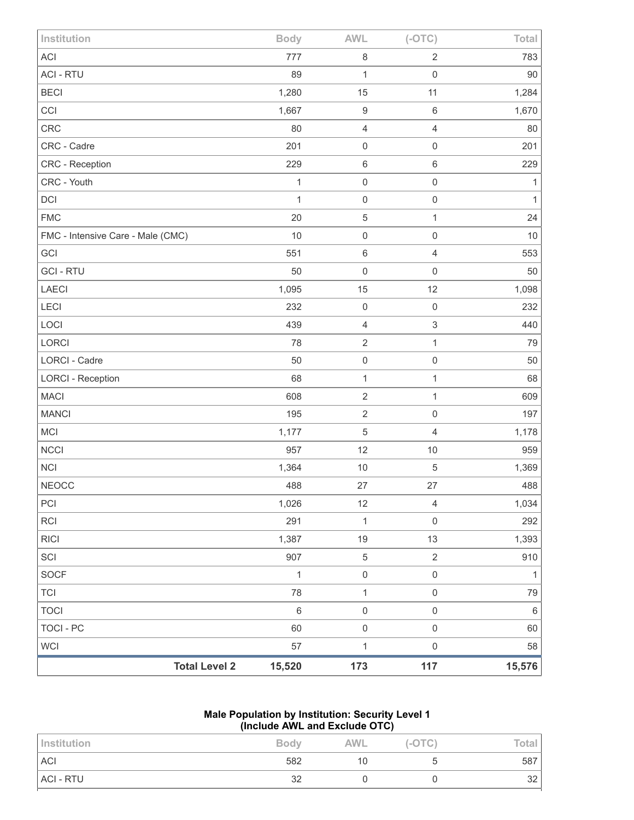| Institution                       | <b>Body</b>                    | <b>AWL</b>                 | $(-OTC)$            | Total        |
|-----------------------------------|--------------------------------|----------------------------|---------------------|--------------|
| <b>ACI</b>                        | 777                            | $\,8\,$                    | 2                   | 783          |
| <b>ACI - RTU</b>                  | 89                             | 1                          | $\mathbf 0$         | $90\,$       |
| <b>BECI</b>                       | 1,280                          | 15                         | 11                  | 1,284        |
| CCI                               | 1,667                          | $\boldsymbol{9}$           | $\,6\,$             | 1,670        |
| <b>CRC</b>                        | 80                             | $\overline{4}$             | $\overline{4}$      | 80           |
| CRC - Cadre                       | 201                            | $\mathbf 0$                | $\mathsf{O}\xspace$ | 201          |
| CRC - Reception                   | 229                            | $\,6\,$                    | $\,6$               | 229          |
| CRC - Youth                       | 1                              | $\mathbf 0$                | $\mathsf{O}\xspace$ | 1            |
| DCI                               |                                | 1<br>$\mathbf 0$           | $\mathsf{O}\xspace$ | 1            |
| <b>FMC</b>                        | 20                             | $\,$ 5 $\,$                | $\mathbf{1}$        | 24           |
| FMC - Intensive Care - Male (CMC) | 10                             | $\mathbf 0$                | $\mathsf{O}\xspace$ | 10           |
| GCI                               | 551                            | $\,6\,$                    | $\overline{4}$      | 553          |
| <b>GCI-RTU</b>                    | 50                             | $\mathbf 0$                | $\mathsf{O}\xspace$ | 50           |
| LAECI                             | 1,095                          | 15                         | 12                  | 1,098        |
| <b>LECI</b>                       | 232                            | $\mathbf 0$                | $\mathbf 0$         | 232          |
| LOCI                              | 439                            | $\overline{4}$             | 3                   | 440          |
| LORCI                             | 78                             | $\sqrt{2}$                 | 1                   | 79           |
| <b>LORCI - Cadre</b>              | 50                             | $\mathbf 0$                | $\mathsf{O}\xspace$ | 50           |
| <b>LORCI - Reception</b>          | 68                             | $\mathbf{1}$               | $\mathbf{1}$        | 68           |
| <b>MACI</b>                       | 608                            | $\sqrt{2}$                 | $\mathbf{1}$        | 609          |
| <b>MANCI</b>                      | 195                            | $\sqrt{2}$                 | $\mathsf{O}\xspace$ | 197          |
| MCI                               | 1,177                          | $\sqrt{5}$                 | 4                   | 1,178        |
| <b>NCCI</b>                       | 957                            | 12                         | 10                  | 959          |
| <b>NCI</b>                        | 1,364                          | $10$                       | 5                   | 1,369        |
| <b>NEOCC</b>                      | 488                            | 27                         | 27                  | 488          |
| PCI                               | 1,026                          | 12                         | $\sqrt{4}$          | 1,034        |
| <b>RCI</b>                        | 291                            | $\mathbf{1}$               | $\mathbf 0$         | 292          |
| <b>RICI</b>                       | 1,387                          | 19                         | 13                  | 1,393        |
| SCI                               | 907                            | $\sqrt{5}$                 | $\overline{2}$      | 910          |
| <b>SOCF</b>                       |                                | $\mathbf 1$<br>$\mathbf 0$ | $\mathsf{O}\xspace$ | $\mathbf{1}$ |
| <b>TCI</b>                        | 78                             | $\mathbf{1}$               | $\mathsf{O}\xspace$ | 79           |
| <b>TOCI</b>                       | $\,6\,$                        | $\mathbf 0$                | $\mathsf{O}\xspace$ | $\,6\,$      |
| <b>TOCI - PC</b>                  | 60                             | $\mathbf 0$                | $\mathsf{O}\xspace$ | 60           |
| <b>WCI</b>                        | 57                             | $\mathbf 1$                | $\mathbf 0$         | 58           |
|                                   | <b>Total Level 2</b><br>15,520 | 173                        | 117                 | 15,576       |

# **Male Population by Institution: Security Level 1 (Include AWL and Exclude OTC)**

| Institution | <b>Body</b> | AWL | $(-OTC)$ | Tota.          |
|-------------|-------------|-----|----------|----------------|
| <b>ACI</b>  | 582         | 10  |          | 587            |
| ACI - RTU   | 2C<br>ےں    |     |          | $\Omega$<br>ےں |
|             |             |     |          |                |